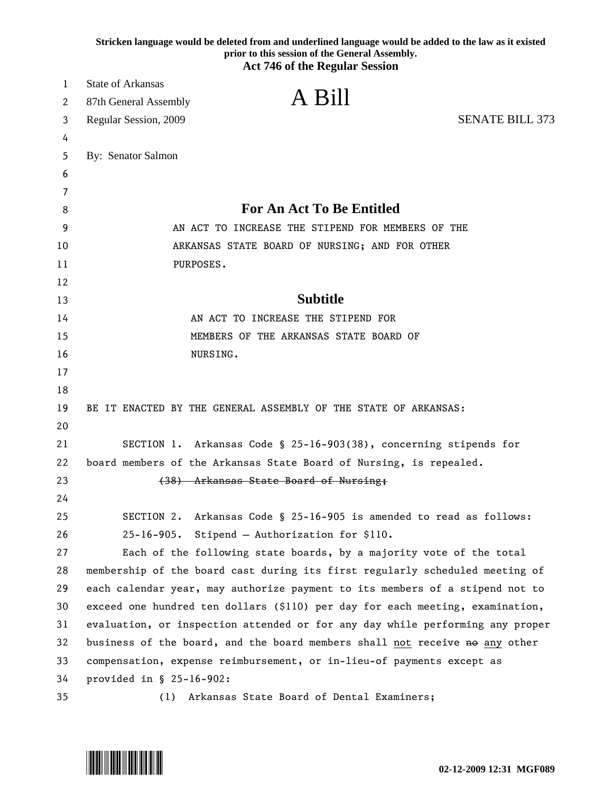|    | Stricken language would be deleted from and underlined language would be added to the law as it existed<br>prior to this session of the General Assembly. |
|----|-----------------------------------------------------------------------------------------------------------------------------------------------------------|
|    | <b>Act 746 of the Regular Session</b>                                                                                                                     |
| 1  | <b>State of Arkansas</b>                                                                                                                                  |
| 2  | A Bill<br>87th General Assembly                                                                                                                           |
| 3  | <b>SENATE BILL 373</b><br>Regular Session, 2009                                                                                                           |
| 4  |                                                                                                                                                           |
| 5  | By: Senator Salmon                                                                                                                                        |
| 6  |                                                                                                                                                           |
| 7  |                                                                                                                                                           |
| 8  | <b>For An Act To Be Entitled</b>                                                                                                                          |
| 9  | AN ACT TO INCREASE THE STIPEND FOR MEMBERS OF THE                                                                                                         |
| 10 | ARKANSAS STATE BOARD OF NURSING; AND FOR OTHER                                                                                                            |
| 11 | PURPOSES.                                                                                                                                                 |
| 12 |                                                                                                                                                           |
| 13 | <b>Subtitle</b>                                                                                                                                           |
| 14 | AN ACT TO INCREASE THE STIPEND FOR                                                                                                                        |
| 15 | MEMBERS OF THE ARKANSAS STATE BOARD OF                                                                                                                    |
| 16 | NURSING.                                                                                                                                                  |
| 17 |                                                                                                                                                           |
| 18 |                                                                                                                                                           |
| 19 | BE IT ENACTED BY THE GENERAL ASSEMBLY OF THE STATE OF ARKANSAS:                                                                                           |
| 20 |                                                                                                                                                           |
| 21 | SECTION 1. Arkansas Code § 25-16-903(38), concerning stipends for                                                                                         |
| 22 | board members of the Arkansas State Board of Nursing, is repealed.                                                                                        |
| 23 | (38) Arkansas State Board of Nursing;                                                                                                                     |
| 24 |                                                                                                                                                           |
| 25 | Arkansas Code § 25-16-905 is amended to read as follows:<br>SECTION 2.                                                                                    |
| 26 | Stipend - Authorization for \$110.<br>$25 - 16 - 905$ .                                                                                                   |
| 27 | Each of the following state boards, by a majority vote of the total                                                                                       |
| 28 | membership of the board cast during its first regularly scheduled meeting of                                                                              |
| 29 | each calendar year, may authorize payment to its members of a stipend not to                                                                              |
| 30 | exceed one hundred ten dollars (\$110) per day for each meeting, examination,                                                                             |
| 31 | evaluation, or inspection attended or for any day while performing any proper                                                                             |
| 32 | business of the board, and the board members shall not receive no any other                                                                               |
| 33 | compensation, expense reimbursement, or in-lieu-of payments except as                                                                                     |
| 34 | provided in § 25-16-902:                                                                                                                                  |
| 35 | Arkansas State Board of Dental Examiners;<br>(1)                                                                                                          |